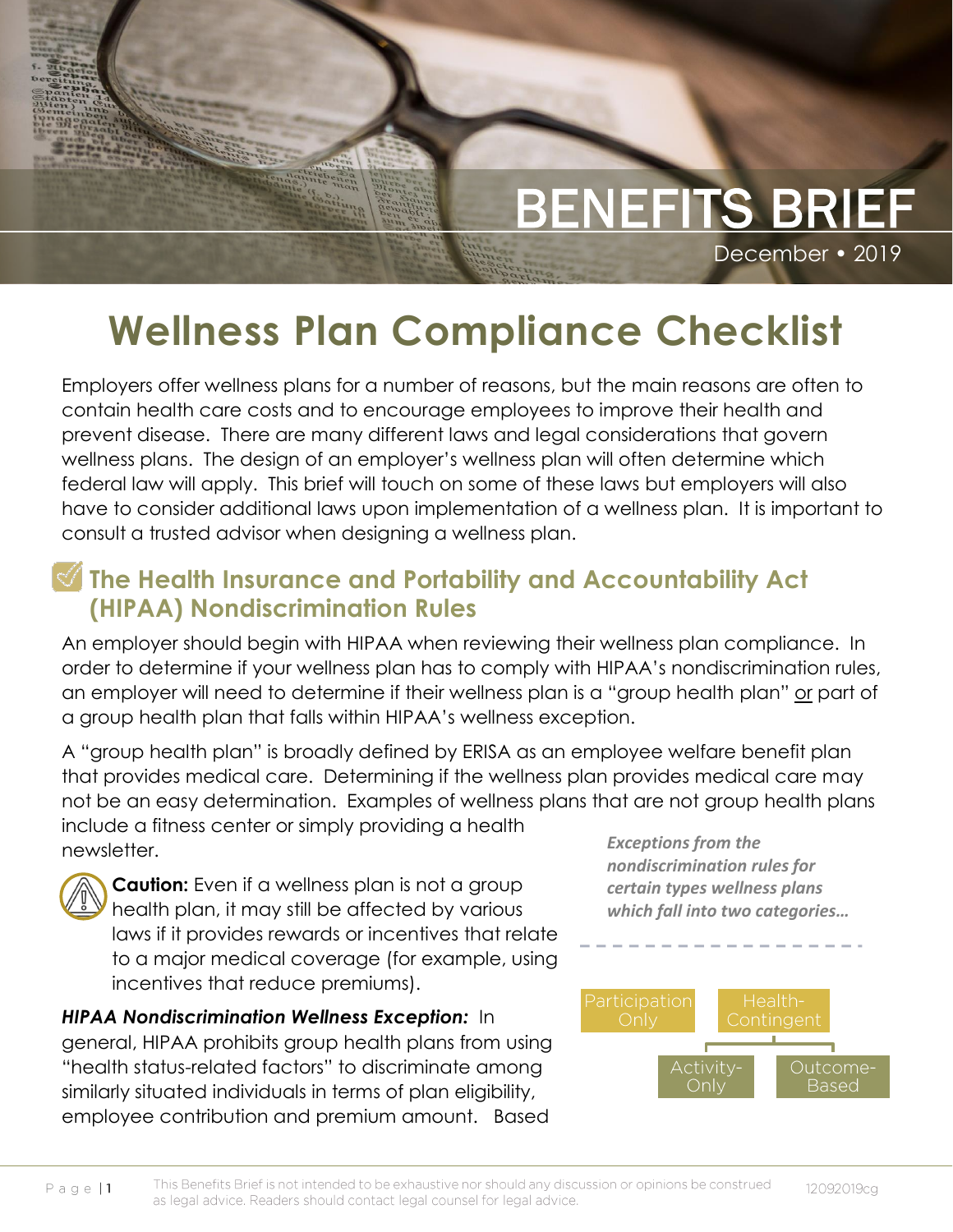

# **Wellness Plan Compliance Checklist**

Employers offer wellness plans for a number of reasons, but the main reasons are often to contain health care costs and to encourage employees to improve their health and prevent disease. There are many different laws and legal considerations that govern wellness plans. The design of an employer's wellness plan will often determine which federal law will apply. This brief will touch on some of these laws but employers will also have to consider additional laws upon implementation of a wellness plan. It is important to consult a trusted advisor when designing a wellness plan.

### **The Health Insurance and Portability and Accountability Act (HIPAA) Nondiscrimination Rules**

An employer should begin with HIPAA when reviewing their wellness plan compliance. In order to determine if your wellness plan has to comply with HIPAA's nondiscrimination rules, an employer will need to determine if their wellness plan is a "group health plan" or part of a group health plan that falls within HIPAA's wellness exception.

A "group health plan" is broadly defined by ERISA as an employee welfare benefit plan that provides medical care. Determining if the wellness plan provides medical care may not be an easy determination. Examples of wellness plans that are not group health plans include a fitness center or simply providing a health newsletter. *Exceptions from the* 



Complete Complete march<sub>e ble</sub>

> **Caution:** Even if a wellness plan is not a group health plan, it may still be affected by various laws if it provides rewards or incentives that relate to a major medical coverage (for example, using incentives that reduce premiums).

*HIPAA Nondiscrimination Wellness Exception:* In general, HIPAA prohibits group health plans from using "health status-related factors" to discriminate among similarly situated individuals in terms of plan eligibility, employee contribution and premium amount. Based

*nondiscrimination rules for certain types wellness plans which fall into two categories…*



Page  $|1$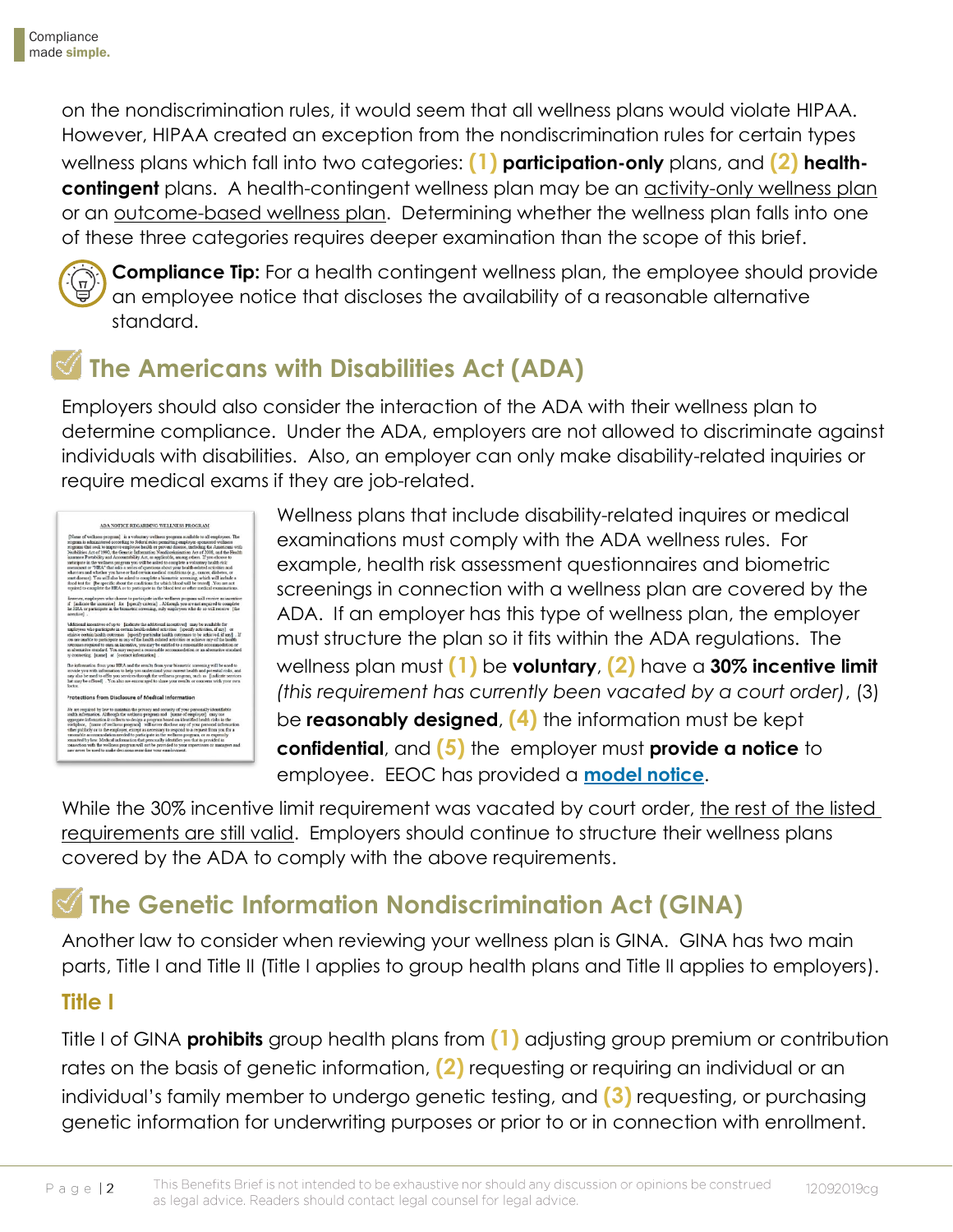on the nondiscrimination rules, it would seem that all wellness plans would violate HIPAA. However, HIPAA created an exception from the nondiscrimination rules for certain types wellness plans which fall into two categories: **(1) participation-only** plans, and **(2) healthcontingent** plans. A health-contingent wellness plan may be an activity-only wellness plan or an outcome-based wellness plan. Determining whether the wellness plan falls into one of these three categories requires deeper examination than the scope of this brief.



**Compliance Tip:** For a health contingent wellness plan, the employee should provide an employee notice that discloses the availability of a reasonable alternative standard.

## **The Americans with Disabilities Act (ADA)**

Employers should also consider the interaction of the ADA with their wellness plan to determine compliance. Under the ADA, employers are not allowed to discriminate against individuals with disabilities. Also, an employer can only make disability-related inquiries or require medical exams if they are job-related.



Wellness plans that include disability-related inquires or medical examinations must comply with the ADA wellness rules. For example, health risk assessment questionnaires and biometric screenings in connection with a wellness plan are covered by the ADA. If an employer has this type of wellness plan, the employer must structure the plan so it fits within the ADA regulations. The wellness plan must **(1)** be **voluntary**, **(2)** have a **30% incentive limit** *(this requirement has currently been vacated by a court order)*, (3) be **reasonably designed**, **(4)** the information must be kept **confidential**, and **(5)** the employer must **provide a notice** to employee. EEOC has provided a **[model notice](https://www.eeoc.gov/laws/regulations/ada-wellness-notice.cfm)**.

While the 30% incentive limit requirement was vacated by court order, the rest of the listed requirements are still valid. Employers should continue to structure their wellness plans covered by the ADA to comply with the above requirements.

## **The Genetic Information Nondiscrimination Act (GINA)**

Another law to consider when reviewing your wellness plan is GINA. GINA has two main parts, Title I and Title II (Title I applies to group health plans and Title II applies to employers).

### **Title I**

Page  $|2$ 

Title I of GINA **prohibits** group health plans from **(1)** adjusting group premium or contribution rates on the basis of genetic information, **(2)** requesting or requiring an individual or an individual's family member to undergo genetic testing, and **(3)** requesting, or purchasing genetic information for underwriting purposes or prior to or in connection with enrollment.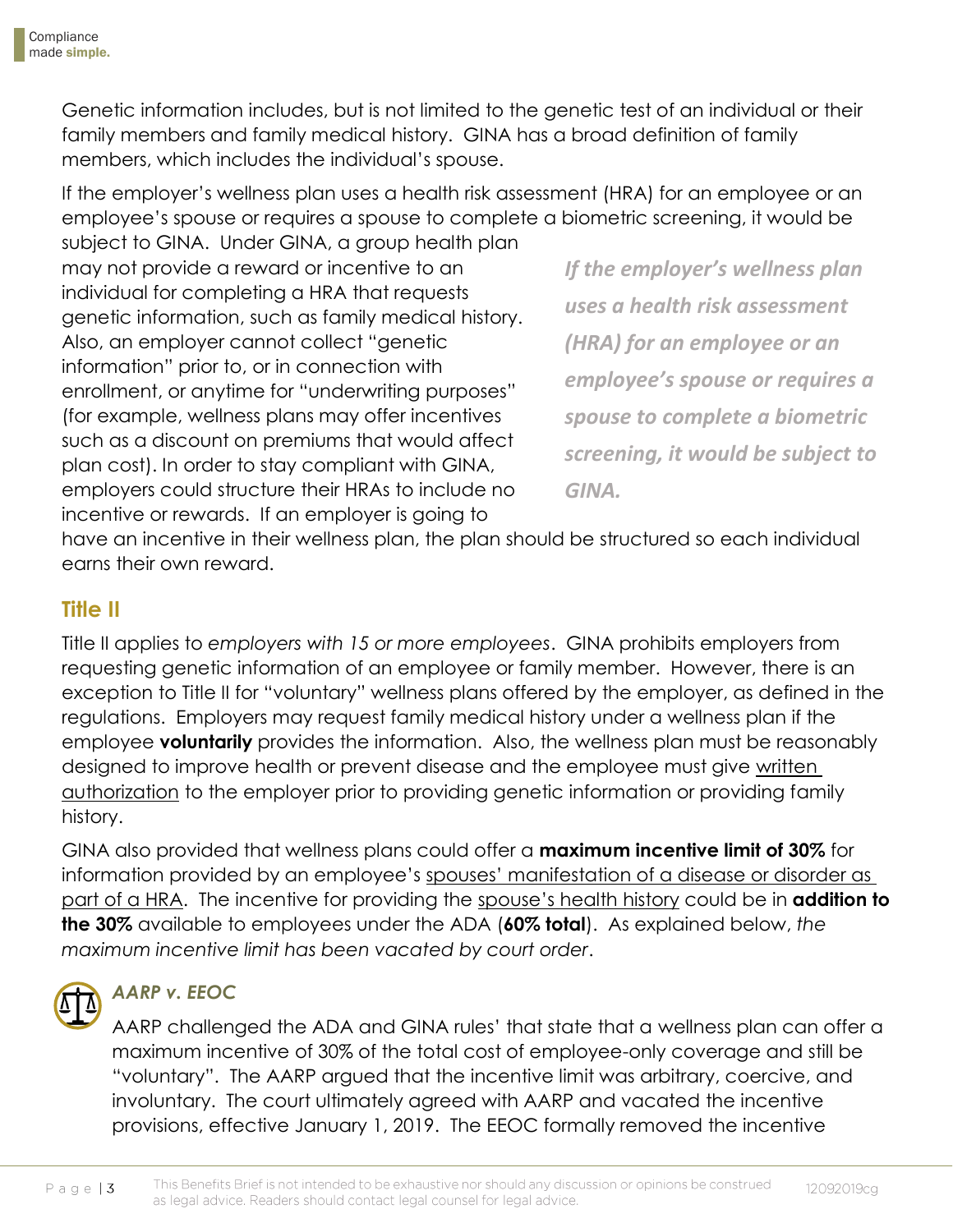Genetic information includes, but is not limited to the genetic test of an individual or their family members and family medical history. GINA has a broad definition of family members, which includes the individual's spouse.

If the employer's wellness plan uses a health risk assessment (HRA) for an employee or an employee's spouse or requires a spouse to complete a biometric screening, it would be

subject to GINA. Under GINA, a group health plan may not provide a reward or incentive to an individual for completing a HRA that requests genetic information, such as family medical history. Also, an employer cannot collect "genetic information" prior to, or in connection with enrollment, or anytime for "underwriting purposes" (for example, wellness plans may offer incentives such as a discount on premiums that would affect plan cost). In order to stay compliant with GINA, employers could structure their HRAs to include no incentive or rewards. If an employer is going to

*If the employer's wellness plan uses a health risk assessment (HRA) for an employee or an employee's spouse or requires a spouse to complete a biometric screening, it would be subject to GINA.*

have an incentive in their wellness plan, the plan should be structured so each individual earns their own reward.

### **Title II**

Title II applies to *employers with 15 or more employees*. GINA prohibits employers from requesting genetic information of an employee or family member. However, there is an exception to Title II for "voluntary" wellness plans offered by the employer, as defined in the regulations. Employers may request family medical history under a wellness plan if the employee **voluntarily** provides the information. Also, the wellness plan must be reasonably designed to improve health or prevent disease and the employee must give written authorization to the employer prior to providing genetic information or providing family history.

GINA also provided that wellness plans could offer a **maximum incentive limit of 30%** for information provided by an employee's spouses' manifestation of a disease or disorder as part of a HRA. The incentive for providing the spouse's health history could be in **addition to the 30%** available to employees under the ADA (**60% total**). As explained below, *the maximum incentive limit has been vacated by court order*.

### *AARP v. EEOC*

AARP challenged the ADA and GINA rules' that state that a wellness plan can offer a maximum incentive of 30% of the total cost of employee-only coverage and still be "voluntary". The AARP argued that the incentive limit was arbitrary, coercive, and involuntary. The court ultimately agreed with AARP and vacated the incentive provisions, effective January 1, 2019. The EEOC formally removed the incentive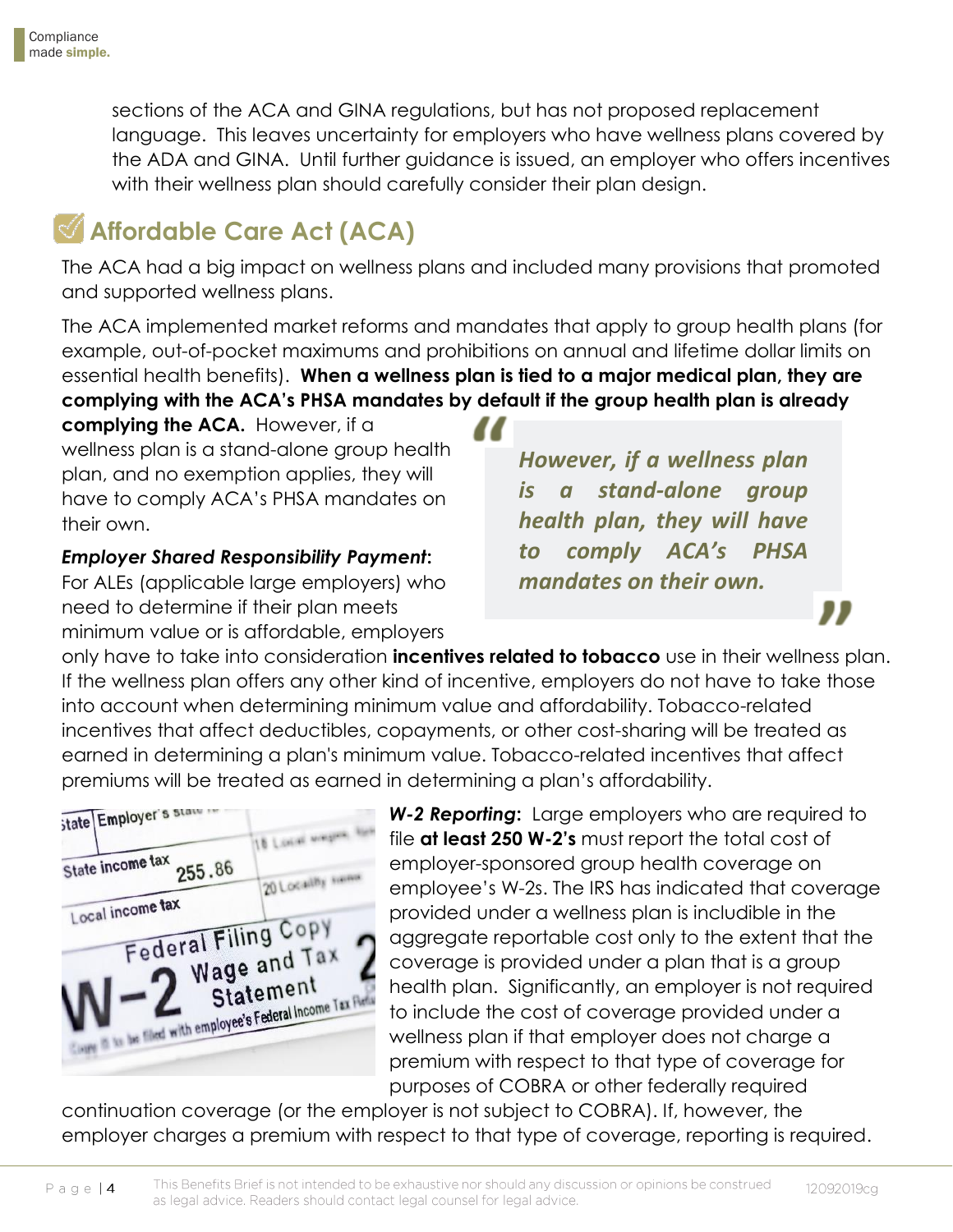sections of the ACA and GINA regulations, but has not proposed replacement language. This leaves uncertainty for employers who have wellness plans covered by the ADA and GINA. Until further guidance is issued, an employer who offers incentives with their wellness plan should carefully consider their plan design.

## **Affordable Care Act (ACA)**

The ACA had a big impact on wellness plans and included many provisions that promoted and supported wellness plans.

The ACA implemented market reforms and mandates that apply to group health plans (for example, out-of-pocket maximums and prohibitions on annual and lifetime dollar limits on essential health benefits). **When a wellness plan is tied to a major medical plan, they are complying with the ACA's PHSA mandates by default if the group health plan is already** 

**complying the ACA.** However, if a wellness plan is a stand-alone group health plan, and no exemption applies, they will have to comply ACA's PHSA mandates on their own.

*Employer Shared Responsibility Payment***:**  For ALEs (applicable large employers) who

need to determine if their plan meets minimum value or is affordable, employers *However, if a wellness plan is a stand-alone group health plan, they will have to comply ACA's PHSA mandates on their own.*

only have to take into consideration **incentives related to tobacco** use in their wellness plan. If the wellness plan offers any other kind of incentive, employers do not have to take those into account when determining minimum value and affordability. Tobacco-related incentives that affect deductibles, copayments, or other cost-sharing will be treated as earned in determining a plan's minimum value. Tobacco-related incentives that affect premiums will be treated as earned in determining a plan's affordability.



*W-2 Reporting***:** Large employers who are required to file **at least 250 W-2's** must report the total cost of employer-sponsored group health coverage on employee's W-2s. The IRS has indicated that coverage provided under a wellness plan is includible in the aggregate reportable cost only to the extent that the coverage is provided under a plan that is a group health plan. Significantly, an employer is not required to include the cost of coverage provided under a wellness plan if that employer does not charge a premium with respect to that type of coverage for purposes of COBRA or other federally required

continuation coverage (or the employer is not subject to COBRA). If, however, the employer charges a premium with respect to that type of coverage, reporting is required.